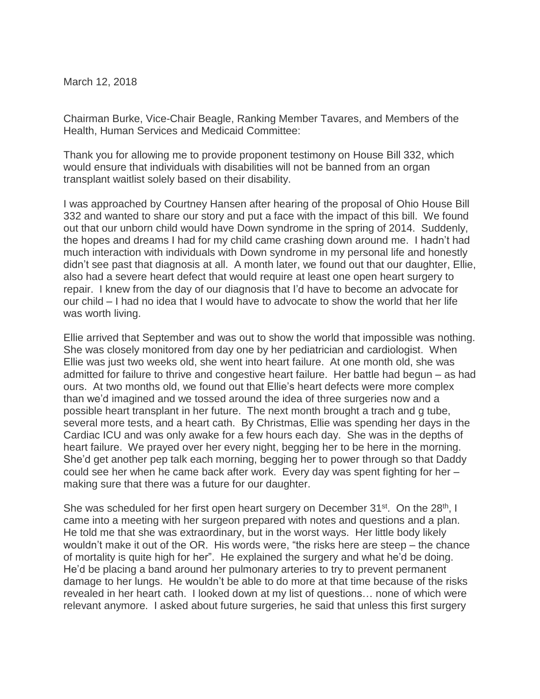March 12, 2018

Chairman Burke, Vice-Chair Beagle, Ranking Member Tavares, and Members of the Health, Human Services and Medicaid Committee:

Thank you for allowing me to provide proponent testimony on House Bill 332, which would ensure that individuals with disabilities will not be banned from an organ transplant waitlist solely based on their disability.

I was approached by Courtney Hansen after hearing of the proposal of Ohio House Bill 332 and wanted to share our story and put a face with the impact of this bill. We found out that our unborn child would have Down syndrome in the spring of 2014. Suddenly, the hopes and dreams I had for my child came crashing down around me. I hadn't had much interaction with individuals with Down syndrome in my personal life and honestly didn't see past that diagnosis at all. A month later, we found out that our daughter, Ellie, also had a severe heart defect that would require at least one open heart surgery to repair. I knew from the day of our diagnosis that I'd have to become an advocate for our child – I had no idea that I would have to advocate to show the world that her life was worth living.

Ellie arrived that September and was out to show the world that impossible was nothing. She was closely monitored from day one by her pediatrician and cardiologist. When Ellie was just two weeks old, she went into heart failure. At one month old, she was admitted for failure to thrive and congestive heart failure. Her battle had begun – as had ours. At two months old, we found out that Ellie's heart defects were more complex than we'd imagined and we tossed around the idea of three surgeries now and a possible heart transplant in her future. The next month brought a trach and g tube, several more tests, and a heart cath. By Christmas, Ellie was spending her days in the Cardiac ICU and was only awake for a few hours each day. She was in the depths of heart failure. We prayed over her every night, begging her to be here in the morning. She'd get another pep talk each morning, begging her to power through so that Daddy could see her when he came back after work. Every day was spent fighting for her – making sure that there was a future for our daughter.

She was scheduled for her first open heart surgery on December 31<sup>st</sup>. On the 28<sup>th</sup>, I came into a meeting with her surgeon prepared with notes and questions and a plan. He told me that she was extraordinary, but in the worst ways. Her little body likely wouldn't make it out of the OR. His words were, "the risks here are steep – the chance of mortality is quite high for her". He explained the surgery and what he'd be doing. He'd be placing a band around her pulmonary arteries to try to prevent permanent damage to her lungs. He wouldn't be able to do more at that time because of the risks revealed in her heart cath. I looked down at my list of questions… none of which were relevant anymore. I asked about future surgeries, he said that unless this first surgery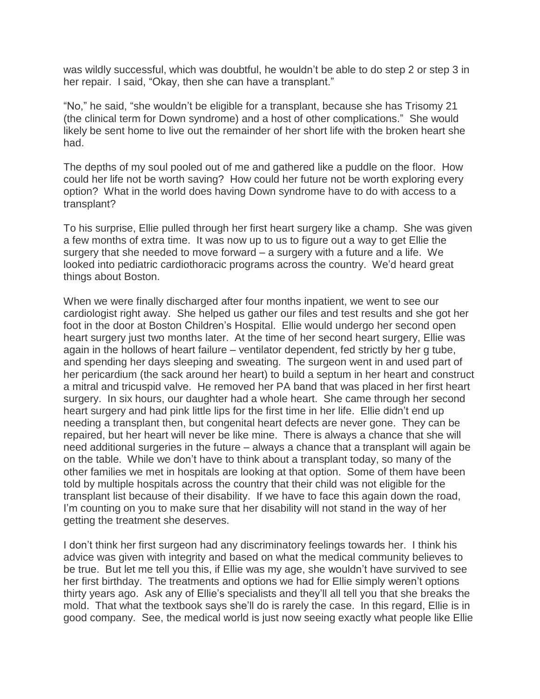was wildly successful, which was doubtful, he wouldn't be able to do step 2 or step 3 in her repair. I said, "Okay, then she can have a transplant."

"No," he said, "she wouldn't be eligible for a transplant, because she has Trisomy 21 (the clinical term for Down syndrome) and a host of other complications." She would likely be sent home to live out the remainder of her short life with the broken heart she had.

The depths of my soul pooled out of me and gathered like a puddle on the floor. How could her life not be worth saving? How could her future not be worth exploring every option? What in the world does having Down syndrome have to do with access to a transplant?

To his surprise, Ellie pulled through her first heart surgery like a champ. She was given a few months of extra time. It was now up to us to figure out a way to get Ellie the surgery that she needed to move forward – a surgery with a future and a life. We looked into pediatric cardiothoracic programs across the country. We'd heard great things about Boston.

When we were finally discharged after four months inpatient, we went to see our cardiologist right away. She helped us gather our files and test results and she got her foot in the door at Boston Children's Hospital. Ellie would undergo her second open heart surgery just two months later. At the time of her second heart surgery, Ellie was again in the hollows of heart failure – ventilator dependent, fed strictly by her g tube, and spending her days sleeping and sweating. The surgeon went in and used part of her pericardium (the sack around her heart) to build a septum in her heart and construct a mitral and tricuspid valve. He removed her PA band that was placed in her first heart surgery. In six hours, our daughter had a whole heart. She came through her second heart surgery and had pink little lips for the first time in her life. Ellie didn't end up needing a transplant then, but congenital heart defects are never gone. They can be repaired, but her heart will never be like mine. There is always a chance that she will need additional surgeries in the future – always a chance that a transplant will again be on the table. While we don't have to think about a transplant today, so many of the other families we met in hospitals are looking at that option. Some of them have been told by multiple hospitals across the country that their child was not eligible for the transplant list because of their disability. If we have to face this again down the road, I'm counting on you to make sure that her disability will not stand in the way of her getting the treatment she deserves.

I don't think her first surgeon had any discriminatory feelings towards her. I think his advice was given with integrity and based on what the medical community believes to be true. But let me tell you this, if Ellie was my age, she wouldn't have survived to see her first birthday. The treatments and options we had for Ellie simply weren't options thirty years ago. Ask any of Ellie's specialists and they'll all tell you that she breaks the mold. That what the textbook says she'll do is rarely the case. In this regard, Ellie is in good company. See, the medical world is just now seeing exactly what people like Ellie